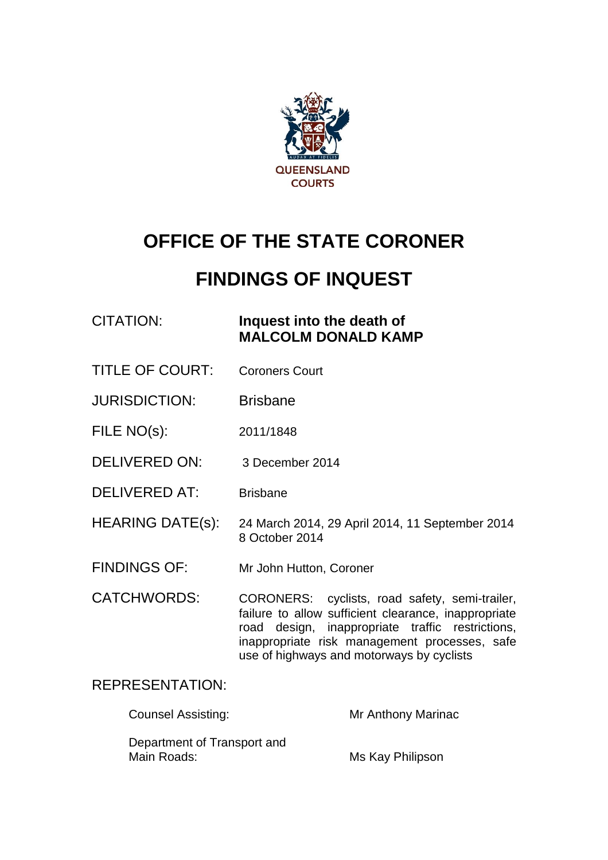

# **OFFICE OF THE STATE CORONER**

# **FINDINGS OF INQUEST**

# CITATION: **Inquest into the death of MALCOLM DONALD KAMP**

- TITLE OF COURT: Coroners Court
- JURISDICTION: Brisbane
- FILE NO(s): 2011/1848
- DELIVERED ON: 3 December 2014
- DELIVERED AT: Brisbane
- HEARING DATE(s): 24 March 2014, 29 April 2014, 11 September 2014 8 October 2014
- FINDINGS OF: Mr John Hutton, Coroner
- CATCHWORDS: CORONERS: cyclists, road safety, semi-trailer, failure to allow sufficient clearance, inappropriate road design, inappropriate traffic restrictions, inappropriate risk management processes, safe use of highways and motorways by cyclists

# REPRESENTATION:

| <b>Counsel Assisting:</b>   | Mr Anthony Marinac |
|-----------------------------|--------------------|
| Department of Transport and |                    |
| Main Roads:                 | Ms Kay Philipson   |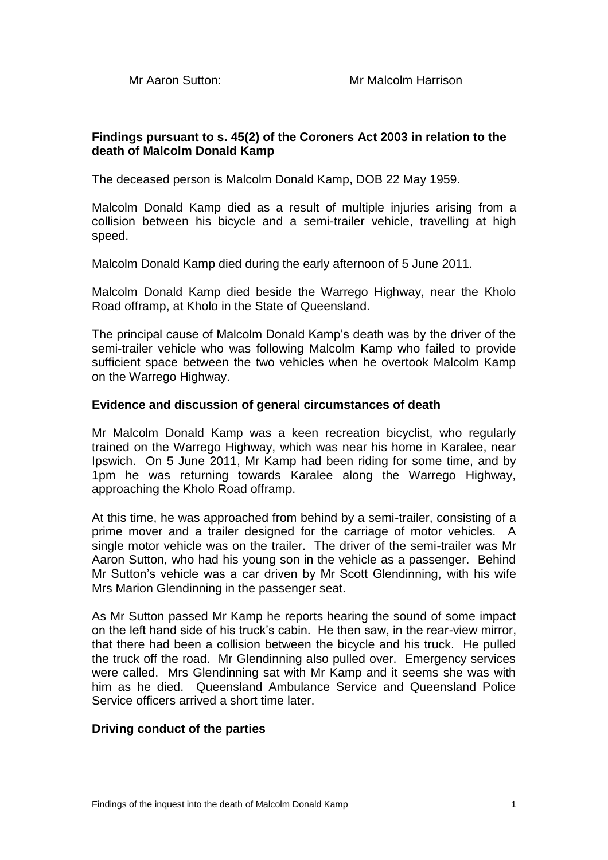## **Findings pursuant to s. 45(2) of the Coroners Act 2003 in relation to the death of Malcolm Donald Kamp**

The deceased person is Malcolm Donald Kamp, DOB 22 May 1959.

Malcolm Donald Kamp died as a result of multiple injuries arising from a collision between his bicycle and a semi-trailer vehicle, travelling at high speed.

Malcolm Donald Kamp died during the early afternoon of 5 June 2011.

Malcolm Donald Kamp died beside the Warrego Highway, near the Kholo Road offramp, at Kholo in the State of Queensland.

The principal cause of Malcolm Donald Kamp's death was by the driver of the semi-trailer vehicle who was following Malcolm Kamp who failed to provide sufficient space between the two vehicles when he overtook Malcolm Kamp on the Warrego Highway.

#### **Evidence and discussion of general circumstances of death**

Mr Malcolm Donald Kamp was a keen recreation bicyclist, who regularly trained on the Warrego Highway, which was near his home in Karalee, near Ipswich. On 5 June 2011, Mr Kamp had been riding for some time, and by 1pm he was returning towards Karalee along the Warrego Highway, approaching the Kholo Road offramp.

At this time, he was approached from behind by a semi-trailer, consisting of a prime mover and a trailer designed for the carriage of motor vehicles. A single motor vehicle was on the trailer. The driver of the semi-trailer was Mr Aaron Sutton, who had his young son in the vehicle as a passenger. Behind Mr Sutton's vehicle was a car driven by Mr Scott Glendinning, with his wife Mrs Marion Glendinning in the passenger seat.

As Mr Sutton passed Mr Kamp he reports hearing the sound of some impact on the left hand side of his truck's cabin. He then saw, in the rear-view mirror, that there had been a collision between the bicycle and his truck. He pulled the truck off the road. Mr Glendinning also pulled over. Emergency services were called. Mrs Glendinning sat with Mr Kamp and it seems she was with him as he died. Queensland Ambulance Service and Queensland Police Service officers arrived a short time later.

## **Driving conduct of the parties**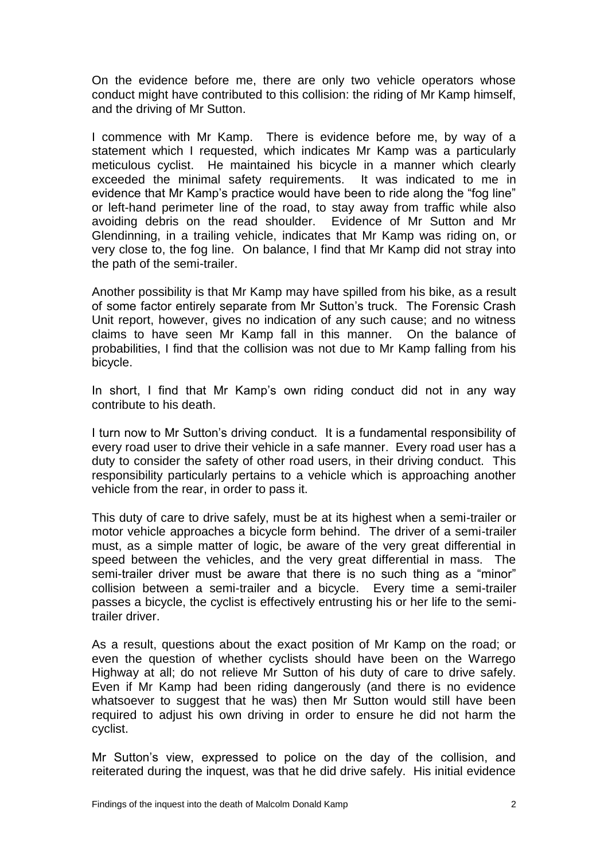On the evidence before me, there are only two vehicle operators whose conduct might have contributed to this collision: the riding of Mr Kamp himself, and the driving of Mr Sutton.

I commence with Mr Kamp. There is evidence before me, by way of a statement which I requested, which indicates Mr Kamp was a particularly meticulous cyclist. He maintained his bicycle in a manner which clearly exceeded the minimal safety requirements. It was indicated to me in evidence that Mr Kamp's practice would have been to ride along the "fog line" or left-hand perimeter line of the road, to stay away from traffic while also avoiding debris on the read shoulder. Evidence of Mr Sutton and Mr Glendinning, in a trailing vehicle, indicates that Mr Kamp was riding on, or very close to, the fog line. On balance, I find that Mr Kamp did not stray into the path of the semi-trailer.

Another possibility is that Mr Kamp may have spilled from his bike, as a result of some factor entirely separate from Mr Sutton's truck. The Forensic Crash Unit report, however, gives no indication of any such cause; and no witness claims to have seen Mr Kamp fall in this manner. On the balance of probabilities, I find that the collision was not due to Mr Kamp falling from his bicycle.

In short, I find that Mr Kamp's own riding conduct did not in any way contribute to his death.

I turn now to Mr Sutton's driving conduct. It is a fundamental responsibility of every road user to drive their vehicle in a safe manner. Every road user has a duty to consider the safety of other road users, in their driving conduct. This responsibility particularly pertains to a vehicle which is approaching another vehicle from the rear, in order to pass it.

This duty of care to drive safely, must be at its highest when a semi-trailer or motor vehicle approaches a bicycle form behind. The driver of a semi-trailer must, as a simple matter of logic, be aware of the very great differential in speed between the vehicles, and the very great differential in mass. The semi-trailer driver must be aware that there is no such thing as a "minor" collision between a semi-trailer and a bicycle. Every time a semi-trailer passes a bicycle, the cyclist is effectively entrusting his or her life to the semitrailer driver.

As a result, questions about the exact position of Mr Kamp on the road; or even the question of whether cyclists should have been on the Warrego Highway at all; do not relieve Mr Sutton of his duty of care to drive safely. Even if Mr Kamp had been riding dangerously (and there is no evidence whatsoever to suggest that he was) then Mr Sutton would still have been required to adjust his own driving in order to ensure he did not harm the cyclist.

Mr Sutton's view, expressed to police on the day of the collision, and reiterated during the inquest, was that he did drive safely. His initial evidence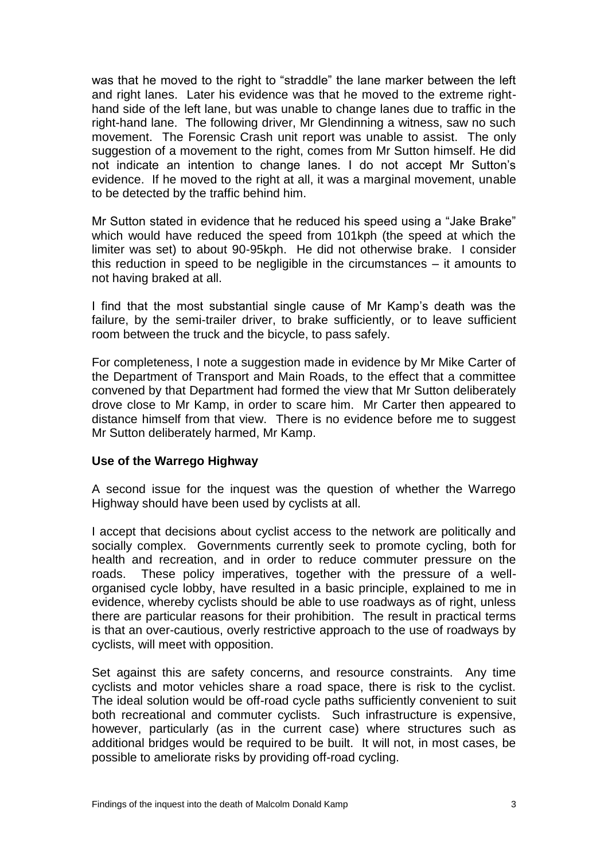was that he moved to the right to "straddle" the lane marker between the left and right lanes. Later his evidence was that he moved to the extreme righthand side of the left lane, but was unable to change lanes due to traffic in the right-hand lane. The following driver, Mr Glendinning a witness, saw no such movement. The Forensic Crash unit report was unable to assist. The only suggestion of a movement to the right, comes from Mr Sutton himself. He did not indicate an intention to change lanes. I do not accept Mr Sutton's evidence. If he moved to the right at all, it was a marginal movement, unable to be detected by the traffic behind him.

Mr Sutton stated in evidence that he reduced his speed using a "Jake Brake" which would have reduced the speed from 101kph (the speed at which the limiter was set) to about 90-95kph. He did not otherwise brake. I consider this reduction in speed to be negligible in the circumstances – it amounts to not having braked at all.

I find that the most substantial single cause of Mr Kamp's death was the failure, by the semi-trailer driver, to brake sufficiently, or to leave sufficient room between the truck and the bicycle, to pass safely.

For completeness, I note a suggestion made in evidence by Mr Mike Carter of the Department of Transport and Main Roads, to the effect that a committee convened by that Department had formed the view that Mr Sutton deliberately drove close to Mr Kamp, in order to scare him. Mr Carter then appeared to distance himself from that view. There is no evidence before me to suggest Mr Sutton deliberately harmed, Mr Kamp.

## **Use of the Warrego Highway**

A second issue for the inquest was the question of whether the Warrego Highway should have been used by cyclists at all.

I accept that decisions about cyclist access to the network are politically and socially complex. Governments currently seek to promote cycling, both for health and recreation, and in order to reduce commuter pressure on the roads. These policy imperatives, together with the pressure of a wellorganised cycle lobby, have resulted in a basic principle, explained to me in evidence, whereby cyclists should be able to use roadways as of right, unless there are particular reasons for their prohibition. The result in practical terms is that an over-cautious, overly restrictive approach to the use of roadways by cyclists, will meet with opposition.

Set against this are safety concerns, and resource constraints. Any time cyclists and motor vehicles share a road space, there is risk to the cyclist. The ideal solution would be off-road cycle paths sufficiently convenient to suit both recreational and commuter cyclists. Such infrastructure is expensive, however, particularly (as in the current case) where structures such as additional bridges would be required to be built. It will not, in most cases, be possible to ameliorate risks by providing off-road cycling.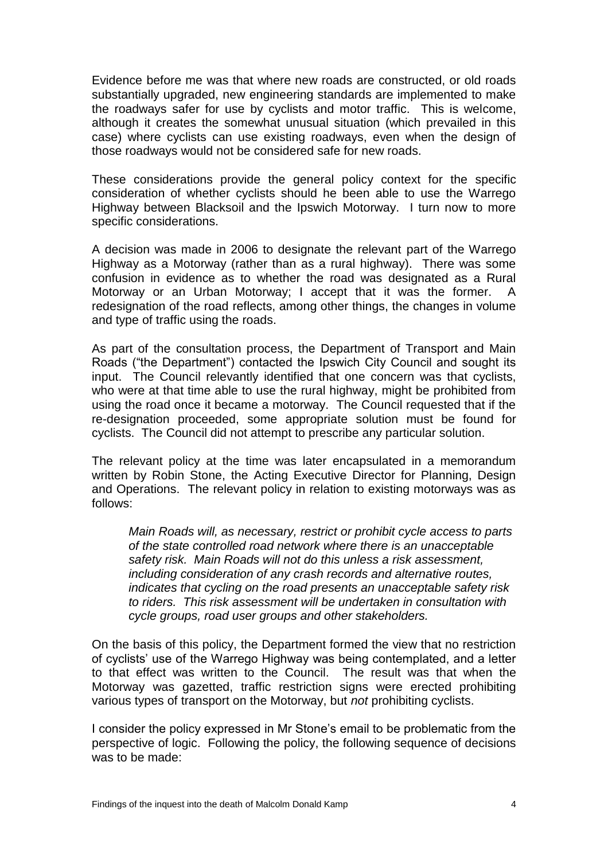Evidence before me was that where new roads are constructed, or old roads substantially upgraded, new engineering standards are implemented to make the roadways safer for use by cyclists and motor traffic. This is welcome, although it creates the somewhat unusual situation (which prevailed in this case) where cyclists can use existing roadways, even when the design of those roadways would not be considered safe for new roads.

These considerations provide the general policy context for the specific consideration of whether cyclists should he been able to use the Warrego Highway between Blacksoil and the Ipswich Motorway. I turn now to more specific considerations.

A decision was made in 2006 to designate the relevant part of the Warrego Highway as a Motorway (rather than as a rural highway). There was some confusion in evidence as to whether the road was designated as a Rural Motorway or an Urban Motorway; I accept that it was the former. A redesignation of the road reflects, among other things, the changes in volume and type of traffic using the roads.

As part of the consultation process, the Department of Transport and Main Roads ("the Department") contacted the Ipswich City Council and sought its input. The Council relevantly identified that one concern was that cyclists, who were at that time able to use the rural highway, might be prohibited from using the road once it became a motorway. The Council requested that if the re-designation proceeded, some appropriate solution must be found for cyclists. The Council did not attempt to prescribe any particular solution.

The relevant policy at the time was later encapsulated in a memorandum written by Robin Stone, the Acting Executive Director for Planning, Design and Operations. The relevant policy in relation to existing motorways was as follows:

*Main Roads will, as necessary, restrict or prohibit cycle access to parts of the state controlled road network where there is an unacceptable safety risk. Main Roads will not do this unless a risk assessment, including consideration of any crash records and alternative routes, indicates that cycling on the road presents an unacceptable safety risk to riders. This risk assessment will be undertaken in consultation with cycle groups, road user groups and other stakeholders.*

On the basis of this policy, the Department formed the view that no restriction of cyclists' use of the Warrego Highway was being contemplated, and a letter to that effect was written to the Council. The result was that when the Motorway was gazetted, traffic restriction signs were erected prohibiting various types of transport on the Motorway, but *not* prohibiting cyclists.

I consider the policy expressed in Mr Stone's email to be problematic from the perspective of logic. Following the policy, the following sequence of decisions was to be made: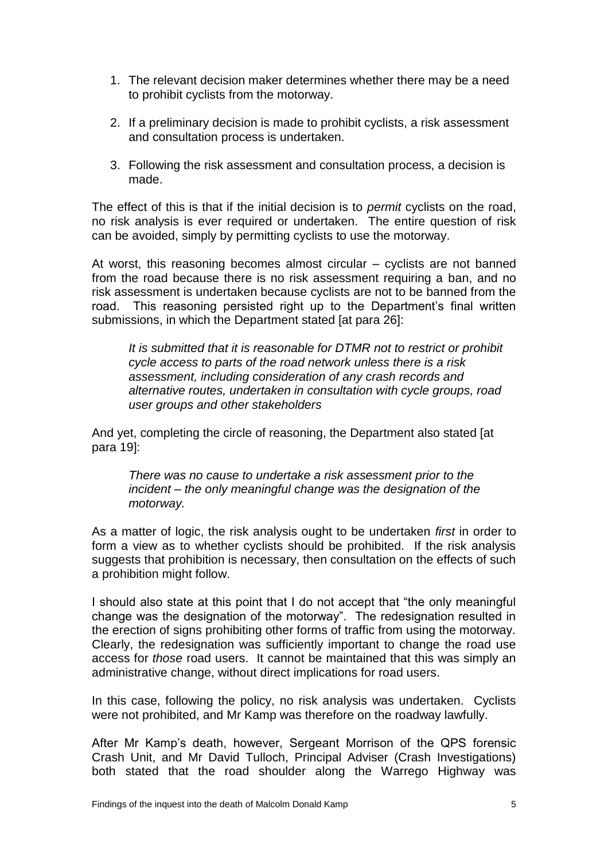- 1. The relevant decision maker determines whether there may be a need to prohibit cyclists from the motorway.
- 2. If a preliminary decision is made to prohibit cyclists, a risk assessment and consultation process is undertaken.
- 3. Following the risk assessment and consultation process, a decision is made.

The effect of this is that if the initial decision is to *permit* cyclists on the road, no risk analysis is ever required or undertaken. The entire question of risk can be avoided, simply by permitting cyclists to use the motorway.

At worst, this reasoning becomes almost circular – cyclists are not banned from the road because there is no risk assessment requiring a ban, and no risk assessment is undertaken because cyclists are not to be banned from the road. This reasoning persisted right up to the Department's final written submissions, in which the Department stated [at para 26]:

*It is submitted that it is reasonable for DTMR not to restrict or prohibit cycle access to parts of the road network unless there is a risk assessment, including consideration of any crash records and alternative routes, undertaken in consultation with cycle groups, road user groups and other stakeholders*

And yet, completing the circle of reasoning, the Department also stated [at para 19]:

*There was no cause to undertake a risk assessment prior to the incident – the only meaningful change was the designation of the motorway.*

As a matter of logic, the risk analysis ought to be undertaken *first* in order to form a view as to whether cyclists should be prohibited. If the risk analysis suggests that prohibition is necessary, then consultation on the effects of such a prohibition might follow.

I should also state at this point that I do not accept that "the only meaningful change was the designation of the motorway". The redesignation resulted in the erection of signs prohibiting other forms of traffic from using the motorway. Clearly, the redesignation was sufficiently important to change the road use access for *those* road users. It cannot be maintained that this was simply an administrative change, without direct implications for road users.

In this case, following the policy, no risk analysis was undertaken. Cyclists were not prohibited, and Mr Kamp was therefore on the roadway lawfully.

After Mr Kamp's death, however, Sergeant Morrison of the QPS forensic Crash Unit, and Mr David Tulloch, Principal Adviser (Crash Investigations) both stated that the road shoulder along the Warrego Highway was